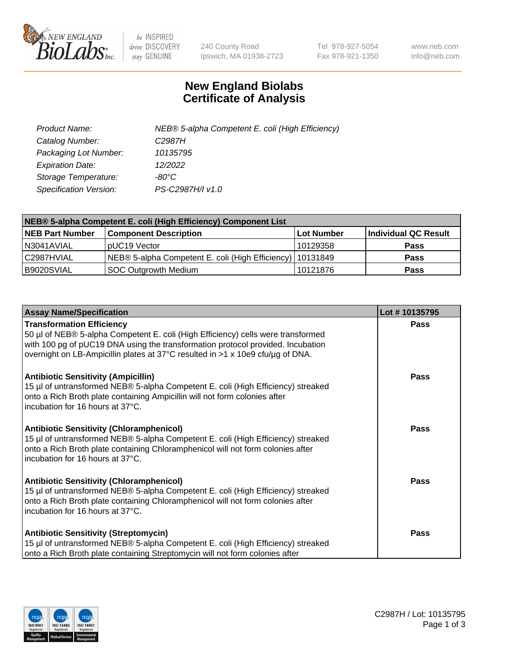

 $be$  INSPIRED drive DISCOVERY stay GENUINE

240 County Road Ipswich, MA 01938-2723 Tel 978-927-5054 Fax 978-921-1350 www.neb.com info@neb.com

## **New England Biolabs Certificate of Analysis**

| Product Name:           | NEB® 5-alpha Competent E. coli (High Efficiency) |
|-------------------------|--------------------------------------------------|
| Catalog Number:         | C <sub>2987</sub> H                              |
| Packaging Lot Number:   | 10135795                                         |
| <b>Expiration Date:</b> | 12/2022                                          |
| Storage Temperature:    | -80°C                                            |
| Specification Version:  | PS-C2987H/I v1.0                                 |

| NEB® 5-alpha Competent E. coli (High Efficiency) Component List |                                                             |                   |                      |  |
|-----------------------------------------------------------------|-------------------------------------------------------------|-------------------|----------------------|--|
| <b>NEB Part Number</b>                                          | <b>Component Description</b>                                | <b>Lot Number</b> | Individual QC Result |  |
| N3041AVIAL                                                      | pUC19 Vector                                                | 10129358          | <b>Pass</b>          |  |
| C2987HVIAL                                                      | NEB® 5-alpha Competent E. coli (High Efficiency)   10131849 |                   | Pass                 |  |
| B9020SVIAL                                                      | SOC Outgrowth Medium                                        | 10121876          | <b>Pass</b>          |  |

| <b>Assay Name/Specification</b>                                                                                                                                                                                                                                                           | Lot #10135795 |
|-------------------------------------------------------------------------------------------------------------------------------------------------------------------------------------------------------------------------------------------------------------------------------------------|---------------|
| <b>Transformation Efficiency</b><br>50 µl of NEB® 5-alpha Competent E. coli (High Efficiency) cells were transformed<br>with 100 pg of pUC19 DNA using the transformation protocol provided. Incubation<br>overnight on LB-Ampicillin plates at 37°C resulted in >1 x 10e9 cfu/µg of DNA. | Pass          |
| <b>Antibiotic Sensitivity (Ampicillin)</b><br>15 µl of untransformed NEB® 5-alpha Competent E. coli (High Efficiency) streaked<br>onto a Rich Broth plate containing Ampicillin will not form colonies after<br>incubation for 16 hours at 37°C.                                          | Pass          |
| <b>Antibiotic Sensitivity (Chloramphenicol)</b><br>15 µl of untransformed NEB® 5-alpha Competent E. coli (High Efficiency) streaked<br>onto a Rich Broth plate containing Chloramphenicol will not form colonies after<br>incubation for 16 hours at 37°C.                                | <b>Pass</b>   |
| <b>Antibiotic Sensitivity (Chloramphenicol)</b><br>15 µl of untransformed NEB® 5-alpha Competent E. coli (High Efficiency) streaked<br>onto a Rich Broth plate containing Chloramphenicol will not form colonies after<br>incubation for 16 hours at 37°C.                                | <b>Pass</b>   |
| <b>Antibiotic Sensitivity (Streptomycin)</b><br>15 µl of untransformed NEB® 5-alpha Competent E. coli (High Efficiency) streaked<br>onto a Rich Broth plate containing Streptomycin will not form colonies after                                                                          | <b>Pass</b>   |

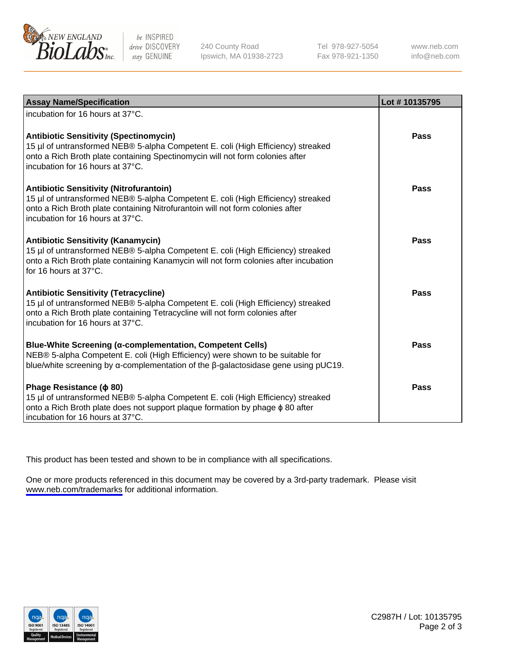

be INSPIRED drive DISCOVERY stay GENUINE

240 County Road Ipswich, MA 01938-2723 Tel 978-927-5054 Fax 978-921-1350

www.neb.com info@neb.com

| <b>Assay Name/Specification</b>                                                                                                                                                                                                                         | Lot #10135795 |
|---------------------------------------------------------------------------------------------------------------------------------------------------------------------------------------------------------------------------------------------------------|---------------|
| incubation for 16 hours at 37°C.                                                                                                                                                                                                                        |               |
| <b>Antibiotic Sensitivity (Spectinomycin)</b><br>15 µl of untransformed NEB® 5-alpha Competent E. coli (High Efficiency) streaked<br>onto a Rich Broth plate containing Spectinomycin will not form colonies after<br>incubation for 16 hours at 37°C.  | Pass          |
| Antibiotic Sensitivity (Nitrofurantoin)<br>15 µl of untransformed NEB® 5-alpha Competent E. coli (High Efficiency) streaked<br>onto a Rich Broth plate containing Nitrofurantoin will not form colonies after<br>incubation for 16 hours at 37°C.       | Pass          |
| <b>Antibiotic Sensitivity (Kanamycin)</b><br>15 µl of untransformed NEB® 5-alpha Competent E. coli (High Efficiency) streaked<br>onto a Rich Broth plate containing Kanamycin will not form colonies after incubation<br>for 16 hours at 37°C.          | Pass          |
| <b>Antibiotic Sensitivity (Tetracycline)</b><br>15 µl of untransformed NEB® 5-alpha Competent E. coli (High Efficiency) streaked<br>onto a Rich Broth plate containing Tetracycline will not form colonies after<br>incubation for 16 hours at 37°C.    | Pass          |
| <b>Blue-White Screening (α-complementation, Competent Cells)</b><br>NEB® 5-alpha Competent E. coli (High Efficiency) were shown to be suitable for<br>blue/white screening by $\alpha$ -complementation of the $\beta$ -galactosidase gene using pUC19. | Pass          |
| Phage Resistance ( $\phi$ 80)<br>15 µl of untransformed NEB® 5-alpha Competent E. coli (High Efficiency) streaked<br>onto a Rich Broth plate does not support plaque formation by phage $\phi$ 80 after<br>incubation for 16 hours at 37°C.             | Pass          |

This product has been tested and shown to be in compliance with all specifications.

One or more products referenced in this document may be covered by a 3rd-party trademark. Please visit <www.neb.com/trademarks>for additional information.